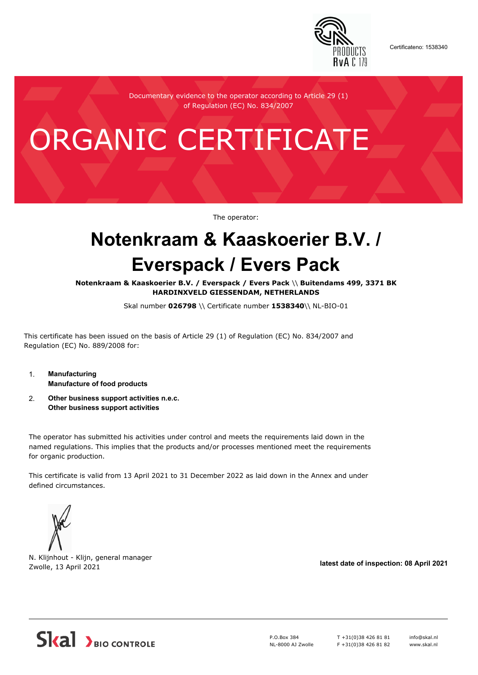

Certificateno: 1538340

Documentary evidence to the operator according to Article 29 (1) of Regulation (EC) No. 834/2007

# ORGANIC CERTIFICATE

The operator:

## **Notenkraam & Kaaskoerier B.V. / Everspack / Evers Pack**

**Notenkraam & Kaaskoerier B.V. / Everspack / Evers Pack** \\ **Buitendams 499, 3371 BK HARDINXVELD GIESSENDAM, NETHERLANDS**

Skal number **026798** \\ Certificate number **1538340**\\ NL-BIO-01

This certificate has been issued on the basis of Article 29 (1) of Regulation (EC) No. 834/2007 and Regulation (EC) No. 889/2008 for:

- 1. **Manufacturing Manufacture of food products**
- 2. **Other business support activities n.e.c. Other business support activities**

The operator has submitted his activities under control and meets the requirements laid down in the named regulations. This implies that the products and/or processes mentioned meet the requirements for organic production.

This certificate is valid from 13 April 2021 to 31 December 2022 as laid down in the Annex and under defined circumstances.



N. Klijnhout - Klijn, general manager Zwolle, 13 April 2021 **latest date of inspection: 08 April 2021**



P.O.Box 384 NL-8000 AJ Zwolle T +31(0)38 426 81 81 F +31(0)38 426 81 82